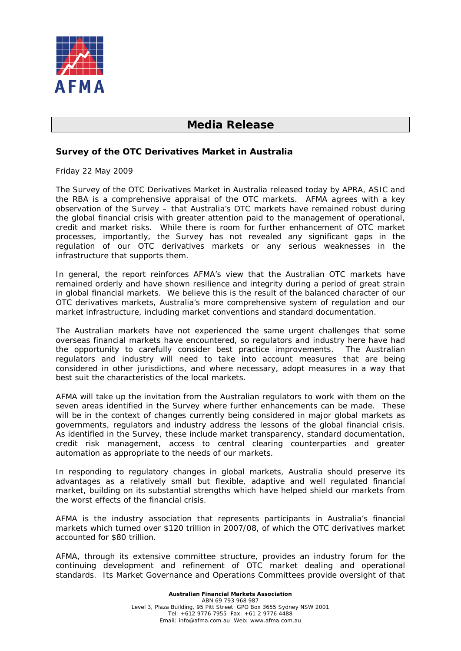

## **Media Release**

## **Survey of the OTC Derivatives Market in Australia**

Friday 22 May 2009

The *Survey of the OTC Derivatives Market in Australia* released today by APRA, ASIC and the RBA is a comprehensive appraisal of the OTC markets. AFMA agrees with a key observation of the Survey – that Australia's OTC markets have remained robust during the global financial crisis with greater attention paid to the management of operational, credit and market risks. While there is room for further enhancement of OTC market processes, importantly, the Survey has not revealed any significant gaps in the regulation of our OTC derivatives markets or any serious weaknesses in the infrastructure that supports them.

In general, the report reinforces AFMA's view that the Australian OTC markets have remained orderly and have shown resilience and integrity during a period of great strain in global financial markets. We believe this is the result of the balanced character of our OTC derivatives markets, Australia's more comprehensive system of regulation and our market infrastructure, including market conventions and standard documentation.

The Australian markets have not experienced the same urgent challenges that some overseas financial markets have encountered, so regulators and industry here have had the opportunity to carefully consider best practice improvements. The Australian regulators and industry will need to take into account measures that are being considered in other jurisdictions, and where necessary, adopt measures in a way that best suit the characteristics of the local markets.

AFMA will take up the invitation from the Australian regulators to work with them on the seven areas identified in the Survey where further enhancements can be made. These will be in the context of changes currently being considered in major global markets as governments, regulators and industry address the lessons of the global financial crisis. As identified in the Survey, these include market transparency, standard documentation, credit risk management, access to central clearing counterparties and greater automation as appropriate to the needs of our markets.

In responding to regulatory changes in global markets, Australia should preserve its advantages as a relatively small but flexible, adaptive and well regulated financial market, building on its substantial strengths which have helped shield our markets from the worst effects of the financial crisis.

AFMA is the industry association that represents participants in Australia's financial markets which turned over \$120 trillion in 2007/08, of which the OTC derivatives market accounted for \$80 trillion.

AFMA, through its extensive committee structure, provides an industry forum for the continuing development and refinement of OTC market dealing and operational standards. Its Market Governance and Operations Committees provide oversight of that